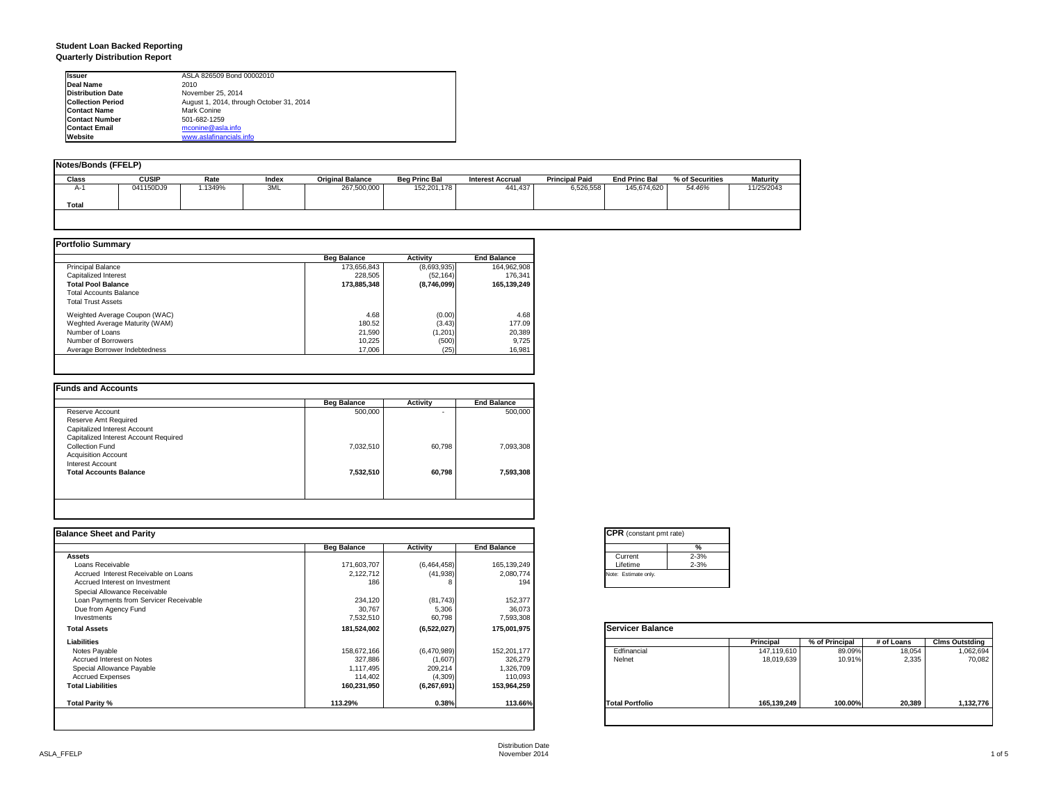#### **Student Loan Backed Reporting Quarterly Distribution Report**

| <b>Issuer</b>            | ASLA 826509 Bond 00002010                |
|--------------------------|------------------------------------------|
| Deal Name                | 2010                                     |
| <b>Distribution Date</b> | November 25, 2014                        |
| <b>Collection Period</b> | August 1, 2014, through October 31, 2014 |
| <b>Contact Name</b>      | Mark Conine                              |
| <b>Contact Number</b>    | 501-682-1259                             |
| <b>Contact Email</b>     | mconine@asla.info                        |
| Website                  | www.aslafinancials.info                  |

| <b>Notes/Bonds (FFELP)</b> |              |         |       |                         |                      |                         |                       |                      |                 |                 |
|----------------------------|--------------|---------|-------|-------------------------|----------------------|-------------------------|-----------------------|----------------------|-----------------|-----------------|
| Class                      | <b>CUSIP</b> | Rate    | Index | <b>Original Balance</b> | <b>Beg Princ Bal</b> | <b>Interest Accrual</b> | <b>Principal Paid</b> | <b>End Princ Bal</b> | % of Securities | <b>Maturity</b> |
| A-1                        | 041150DJ9    | 1.1349% | 3ML   | 267,500,000             | 152,201,178          | 441.437                 | 6,526,558             | 145,674,620          | 54.46%          | 11/25/2043      |
| Total                      |              |         |       |                         |                      |                         |                       |                      |                 |                 |
|                            |              |         |       |                         |                      |                         |                       |                      |                 |                 |

|                                | <b>Beg Balance</b> | Activity    | <b>End Balance</b> |
|--------------------------------|--------------------|-------------|--------------------|
| <b>Principal Balance</b>       | 173,656,843        | (8,693,935) | 164,962,908        |
| Capitalized Interest           | 228.505            | (52.164)    | 176.341            |
| <b>Total Pool Balance</b>      | 173.885.348        | (8,746,099) | 165,139,249        |
| <b>Total Accounts Balance</b>  |                    |             |                    |
| <b>Total Trust Assets</b>      |                    |             |                    |
| Weighted Average Coupon (WAC)  | 4.68               | (0.00)      | 4.68               |
| Weghted Average Maturity (WAM) | 180.52             | (3.43)      | 177.09             |
| Number of Loans                | 21,590             | (1, 201)    | 20,389             |
| Number of Borrowers            | 10.225             | (500)       | 9,725              |
| Average Borrower Indebtedness  | 17,006             | (25)        | 16,981             |

| 500,000   |        |           |
|-----------|--------|-----------|
|           | ٠      | 500,000   |
|           |        |           |
|           |        |           |
|           |        |           |
| 7,032,510 | 60.798 | 7,093,308 |
|           |        |           |
|           |        |           |
| 7,532,510 | 60.798 | 7,593,308 |
|           |        |           |
|           |        |           |
|           |        |           |

| <b>Balance Sheet and Parity</b>        |                    |             |                    | <b>CPR</b> (constant pmt rate)                                          |
|----------------------------------------|--------------------|-------------|--------------------|-------------------------------------------------------------------------|
|                                        | <b>Beg Balance</b> | Activity    | <b>End Balance</b> | %                                                                       |
| <b>Assets</b>                          |                    |             |                    | $2 - 3%$<br>Current                                                     |
| Loans Receivable                       | 171,603,707        | (6,464,458) | 165, 139, 249      | $2 - 3%$<br>Lifetime                                                    |
| Accrued Interest Receivable on Loans   | 2,122,712          | (41, 938)   | 2,080,774          | Note: Estimate only.                                                    |
| Accrued Interest on Investment         | 186                |             | 194                |                                                                         |
| Special Allowance Receivable           |                    |             |                    |                                                                         |
| Loan Payments from Servicer Receivable | 234,120            | (81, 743)   | 152,377            |                                                                         |
| Due from Agency Fund                   | 30,767             | 5,306       | 36,073             |                                                                         |
| Investments                            | 7,532,510          | 60,798      | 7,593,308          |                                                                         |
| <b>Total Assets</b>                    | 181,524,002        | (6,522,027) | 175,001,975        | <b>Servicer Balance</b>                                                 |
| Liabilities                            |                    |             |                    | % of Principal<br><b>Clms Outstding</b><br>Principal<br># of Loans      |
| Notes Payable                          | 158,672,166        | (6,470,989) | 152,201,177        | Edfinancial<br>89.09%<br>18,054<br>1,062,694<br>147,119,610             |
| Accrued Interest on Notes              | 327,886            | (1,607)     | 326,279            | Nelnet<br>2.335<br>70,082<br>18,019,639<br>10.91%                       |
| Special Allowance Payable              | 1,117,495          | 209,214     | 1,326,709          |                                                                         |
| <b>Accrued Expenses</b>                | 114,402            | (4,309)     | 110,093            |                                                                         |
| <b>Total Liabilities</b>               | 160,231,950        | (6,267,691) | 153,964,259        |                                                                         |
| <b>Total Parity %</b>                  | 113.29%            | 0.38%       | 113.66%            | 100.00%<br>20,389<br>1,132,776<br><b>Total Portfolio</b><br>165,139,249 |
|                                        |                    |             |                    |                                                                         |

| <b>CPR</b> (constant pmt rate) |          |
|--------------------------------|----------|
|                                | %        |
| Current                        | $2 - 3%$ |
| Lifetime                       | $2 - 3%$ |
| Note: Estimate only.           |          |

|                        | <b>Principal</b> | % of Principal | # of Loans | <b>Clms Outstding</b> |
|------------------------|------------------|----------------|------------|-----------------------|
| Edfinancial            | 147,119,610      | 89.09%         | 18,054     | 1,062,694             |
| Nelnet                 | 18,019,639       | 10.91%         | 2,335      | 70,082                |
| <b>Total Portfolio</b> | 165,139,249      | 100.00%        | 20,389     | 1,132,776             |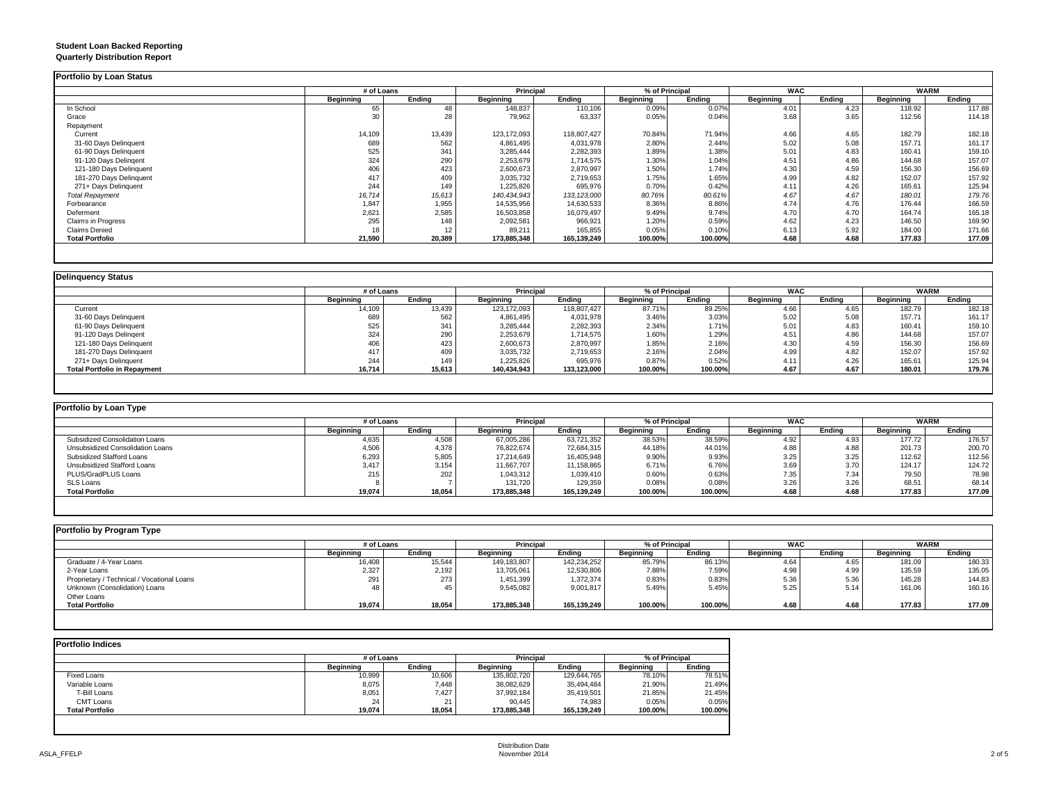#### **Student Loan Backed Reporting Quarterly Distribution Report**

|                           | # of Loans |        | Principal     |               | % of Principal |         | <b>WAC</b>       |        | <b>WARM</b>      |        |
|---------------------------|------------|--------|---------------|---------------|----------------|---------|------------------|--------|------------------|--------|
|                           | Beginning  | Ending | Beginning     | <b>Ending</b> | Beginning      | Ending  | <b>Beginning</b> | Ending | <b>Beginning</b> | Ending |
| In School                 | 65         |        | 148,837       | 110,106       | 0.09%          | 0.07%   | 4.01             | 4.23   | 118.92           | 117.88 |
| Grace                     | 30         | 28     | 79,962        | 63,337        | 0.05%          | 0.04%   | 3.68             | 3.65   | 112.56           | 114.18 |
| Repayment                 |            |        |               |               |                |         |                  |        |                  |        |
| Current                   | 14,109     | 13,439 | 123, 172, 093 | 118,807,427   | 70.84%         | 71.94%  | 4.66             | 4.65   | 182.79           | 182.18 |
| 31-60 Days Delinquent     | 689        | 562    | 4,861,495     | 4,031,978     | 2.80%          | 2.44%   | 5.02             | 5.08   | 157.71           | 161.17 |
| 61-90 Days Delinquent     | 525        | 341    | 3,285,444     | 2,282,393     | 1.89%          | 1.38%   | 5.01             | 4.83   | 160.41           | 159.10 |
| 91-120 Davs Delingent     | 324        | 290    | 2,253,679     | 1.714.575     | 1.30%          | 1.04%   | 4.51             | 4.86   | 144.68           | 157.07 |
| 121-180 Days Delinquent   | 406        | 423    | 2,600,673     | 2,870,997     | 1.50%          | 1.74%   | 4.30             | 4.59   | 156.30           | 156.69 |
| 181-270 Days Delinquent   | 417        | 409    | 3,035,732     | 2,719,653     | 1.75%          | 1.65%   | 4.99             | 4.82   | 152.07           | 157.92 |
| 271+ Days Delinquent      | 244        | 149    | 1,225,826     | 695,976       | 0.70%          | 0.42%   | 4.11             | 4.26   | 165.61           | 125.94 |
| <b>Total Repayment</b>    | 16,714     | 15,613 | 140,434,943   | 133, 123,000  | 80.76%         | 80.61%  | 4.67             | 4.67   | 180.01           | 179.76 |
| Forbearance               | 1,847      | 1,955  | 14,535,956    | 14,630,533    | 8.36%          | 8.86%   | 4.74             | 4.76   | 176.44           | 166.59 |
| Deferment                 | 2,621      | 2,585  | 16,503,858    | 16,079,497    | 9.49%          | 9.74%   | 4.70             | 4.70   | 164.74           | 165.18 |
| <b>Claims in Progress</b> | 295        | 148    | 2,092,581     | 966,921       | 1.20%          | 0.59%   | 4.62             | 4.23   | 146.50           | 169.90 |
| <b>Claims Denied</b>      | 18         | 12     | 89,21'        | 165,855       | 0.05%          | 0.10%   | 6.13             | 5.92   | 184.00           | 171.66 |
| <b>Total Portfolio</b>    | 21,590     | 20,389 | 173,885,348   | 165,139,249   | 100.00%        | 100.00% | 4.68             | 4.68   | 177.83           | 177.09 |

|                                     |           | # of Loans |               | <b>Principal</b> |           | % of Principal |           | <b>WAC</b> | <b>WARM</b> |        |
|-------------------------------------|-----------|------------|---------------|------------------|-----------|----------------|-----------|------------|-------------|--------|
|                                     | Beainnina | Endina     | Beginning     | Ending           | Beginning | Ending         | Beginning | Endina     | Beginning   | Ending |
| Current                             | 14,109    | 13,439     | 123, 172, 093 | 118,807,427      | 87.71%    | 89.25%         | 4.66      | 4.65       | 182.79      | 182.18 |
| 31-60 Days Delinquent               | 689       | 562        | 4,861,495     | 4,031,978        | 3.46%     | 3.03%          | 5.02      | 5.08       | 157.71      | 161.17 |
| 61-90 Days Delinquent               | 525       | 341        | 3,285,444     | 2,282,393        | 2.34%     | 1.71%          | 5.01      | 4.83       | 160.41      | 159.10 |
| 91-120 Days Delingent               | 324       | 290        | 2,253,679     | 1,714,575        | 1.60%     | 1.29%          | 4.51      | 4.86       | 144.68      | 157.07 |
| 121-180 Days Delinquent             | 406       | 423        | 2,600,673     | 2,870,997        | 1.85%     | 2.16%          | 4.30      | 4.59       | 156.30      | 156.69 |
| 181-270 Days Delinquent             | 417       | 409        | 3,035,732     | 2,719,653        | 2.16%     | 2.04%          | 4.99      | 4.82       | 152.07      | 157.92 |
| 271+ Days Delinquent                | 244       | 149        | 1,225,826     | 695,976          | 0.87%     | 0.52%          | 4.11      | 4.26       | 165.61      | 125.94 |
| <b>Total Portfolio in Repayment</b> | 16,714    | 15,613     | 140,434,943   | 133,123,000      | 100.00%   | 100.00%        | 4.67      | 4.67       | 180.01      | 179.76 |

| Portfolio by Loan Type           |                  |        |             |             |                |         |            |        |                  |        |
|----------------------------------|------------------|--------|-------------|-------------|----------------|---------|------------|--------|------------------|--------|
|                                  | # of Loans       |        | Principal   |             | % of Principal |         | <b>WAC</b> |        | <b>WARM</b>      |        |
|                                  | <b>Beginning</b> | Endina | Beginning   | Endina      | Beainnina      | Endina  | Beainnina  | Endina | <b>Beainning</b> | Ending |
| Subsidized Consolidation Loans   | 4,635            | 4,508  | 67,005,286  | 63,721,352  | 38.53%         | 38.59%  | 4.92       | 4.93   | 177.72           | 176.57 |
| Unsubsidized Consolidation Loans | 4,506            | 4,378  | 76,822,674  | 72,684,315  | 44.18%         | 44.01%  | 4.88       | 4.88   | 201.73           | 200.70 |
| Subsidized Stafford Loans        | 6,293            | 5,805  | 17,214,649  | 16,405,948  | 9.90%          | 9.93%   | 3.25       | 3.25   | 112.62           | 112.56 |
| Unsubsidized Stafford Loans      | 3,417            | 3,154  | 11,667,707  | 11,158,865  | 6.71%          | 6.76%   | 3.69       | 3.70   | 124.17           | 124.72 |
| PLUS/GradPLUS Loans              | 215              | 202    | 1,043,312   | 1,039,410   | 0.60%          | 0.63%   | 7.35       | 7.34   | 79.50            | 78.98  |
| SLS Loans                        |                  |        | 131,720     | 129,359     | 0.08%          | 0.08%   | 3.26       | 3.26   | 68.51            | 68.14  |
| <b>Total Portfolio</b>           | 19,074           | 18,054 | 173.885.348 | 165,139,249 | 100.00%        | 100.00% | 4.68       | 4.68   | 177.83           | 177.09 |

| Portfolio by Program Type                  |                  |        |                  |             |                |         |                  |        |             |        |
|--------------------------------------------|------------------|--------|------------------|-------------|----------------|---------|------------------|--------|-------------|--------|
|                                            | # of Loans       |        | <b>Principal</b> |             | % of Principal |         | <b>WAC</b>       |        | <b>WARM</b> |        |
|                                            | <b>Beginning</b> | Endina | Beginning        | Endina      | Beginning      | Endina  | <b>Beginning</b> | Endina | Beginning   | Endina |
| Graduate / 4-Year Loans                    | 16,408           | 15.544 | 149.183.807      | 142.234.252 | 85.79%         | 86.13%  | 4.64             | 4.65   | 181.09      | 180.33 |
| 2-Year Loans                               | 2,327            | 2,192  | 13,705,061       | 12,530,806  | 7.88%          | 7.59%   | 4.98             | 4.99   | 135.59      | 135.05 |
| Proprietary / Technical / Vocational Loans | 291              | 273    | 1,451,399        | 1,372,374   | 0.83%          | 0.83%   | 5.36             | 5.36   | 145.28      | 144.83 |
| Unknown (Consolidation) Loans              | 48               | 45     | 9,545,082        | 9,001,817   | 5.49%          | 5.45%   | 5.25             | 5.14   | 161.06      | 160.16 |
| Other Loans                                |                  |        |                  |             |                |         |                  |        |             |        |
| <b>Total Portfolio</b>                     | 19,074           | 18,054 | 173,885,348      | 165,139,249 | 100.00%        | 100.00% | 4.68             | 4.68   | 177.83      | 177.09 |
|                                            |                  |        |                  |             |                |         |                  |        |             |        |

|                        | # of Loans |        | <b>Principal</b> |             | % of Principal   |         |
|------------------------|------------|--------|------------------|-------------|------------------|---------|
|                        | Beginning  | Endina | <b>Beainning</b> | Endina      | <b>Beginning</b> | Endina  |
| <b>Fixed Loans</b>     | 10.999     | 10.606 | 135,802,720      | 129,644,765 | 78.10%           | 78.51%  |
| Variable Loans         | 8,075      | 7.448  | 38,082,629       | 35.494.484  | 21.90%           | 21.49%  |
| T-Bill Loans           | 8,051      | 7.427  | 37,992,184       | 35.419.501  | 21.85%           | 21.45%  |
| <b>CMT Loans</b>       | 24         | 21     | 90.445           | 74.983      | 0.05%            | 0.05%   |
| <b>Total Portfolio</b> | 19.074     | 18,054 | 173,885,348      | 165,139,249 | 100.00%          | 100.00% |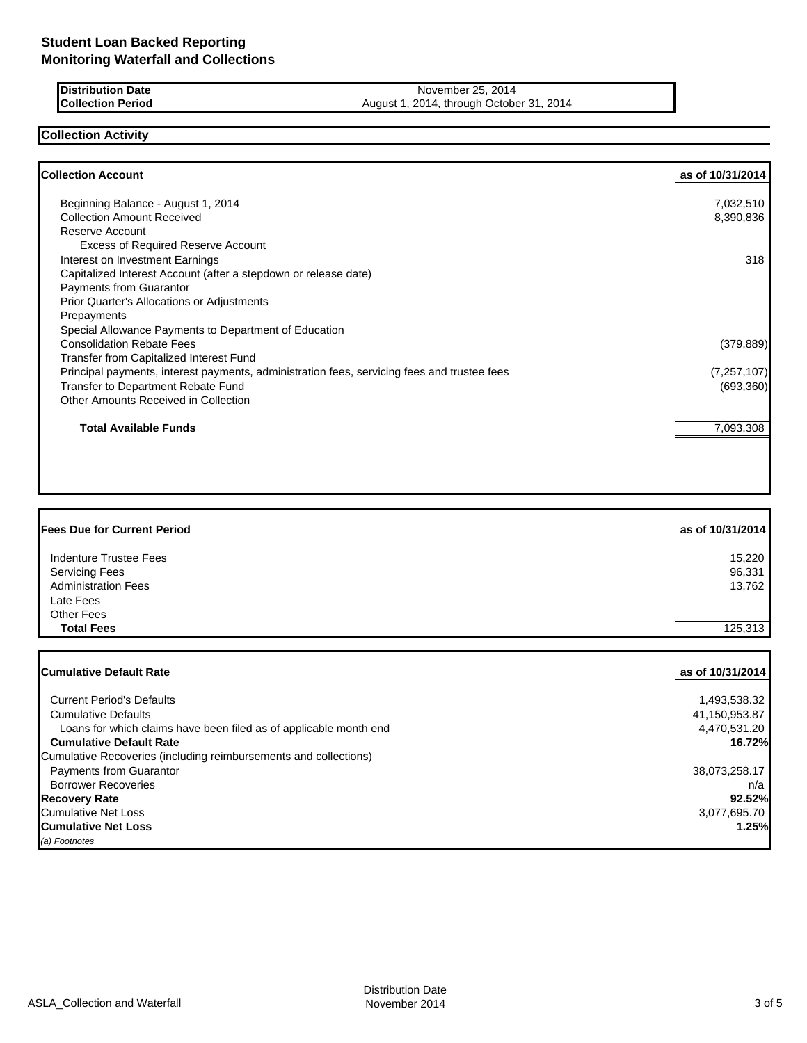**Distribution Date** November 25, 2014<br> **Collection Period** Collection **Period** 25, 2014 August 1, 2014, through October 31, 2014

# **Collection Activity**

| <b>Collection Account</b>                                                                   | as of 10/31/2014 |
|---------------------------------------------------------------------------------------------|------------------|
| Beginning Balance - August 1, 2014                                                          | 7,032,510        |
| <b>Collection Amount Received</b>                                                           | 8,390,836        |
| Reserve Account                                                                             |                  |
| <b>Excess of Required Reserve Account</b>                                                   |                  |
| Interest on Investment Earnings                                                             | 318              |
| Capitalized Interest Account (after a stepdown or release date)                             |                  |
| <b>Payments from Guarantor</b>                                                              |                  |
| <b>Prior Quarter's Allocations or Adjustments</b>                                           |                  |
| Prepayments                                                                                 |                  |
| Special Allowance Payments to Department of Education                                       |                  |
| <b>Consolidation Rebate Fees</b>                                                            | (379, 889)       |
| Transfer from Capitalized Interest Fund                                                     |                  |
| Principal payments, interest payments, administration fees, servicing fees and trustee fees | (7, 257, 107)    |
| Transfer to Department Rebate Fund                                                          | (693, 360)       |
| Other Amounts Received in Collection                                                        |                  |
| <b>Total Available Funds</b>                                                                | 7,093,308        |
|                                                                                             |                  |
|                                                                                             |                  |

| <b>Fees Due for Current Period</b> | as of 10/31/2014 |
|------------------------------------|------------------|
| Indenture Trustee Fees             | 15,220           |
| <b>Servicing Fees</b>              | 96,331           |
| <b>Administration Fees</b>         | 13,762           |
| Late Fees                          |                  |
| <b>Other Fees</b>                  |                  |
| <b>Total Fees</b>                  | 125,313          |

| <b>ICumulative Default Rate</b>                                   | as of 10/31/2014 |
|-------------------------------------------------------------------|------------------|
|                                                                   |                  |
| <b>Current Period's Defaults</b>                                  | 1,493,538.32     |
| <b>Cumulative Defaults</b>                                        | 41,150,953.87    |
| Loans for which claims have been filed as of applicable month end | 4,470,531.20     |
| <b>Cumulative Default Rate</b>                                    | 16.72%           |
| Cumulative Recoveries (including reimbursements and collections)  |                  |
| <b>Payments from Guarantor</b>                                    | 38,073,258.17    |
| <b>Borrower Recoveries</b>                                        | n/a              |
| <b>Recovery Rate</b>                                              | 92.52%           |
| <b>Cumulative Net Loss</b>                                        | 3,077,695.70     |
| <b>Cumulative Net Loss</b>                                        | 1.25%            |
| (a) Footnotes                                                     |                  |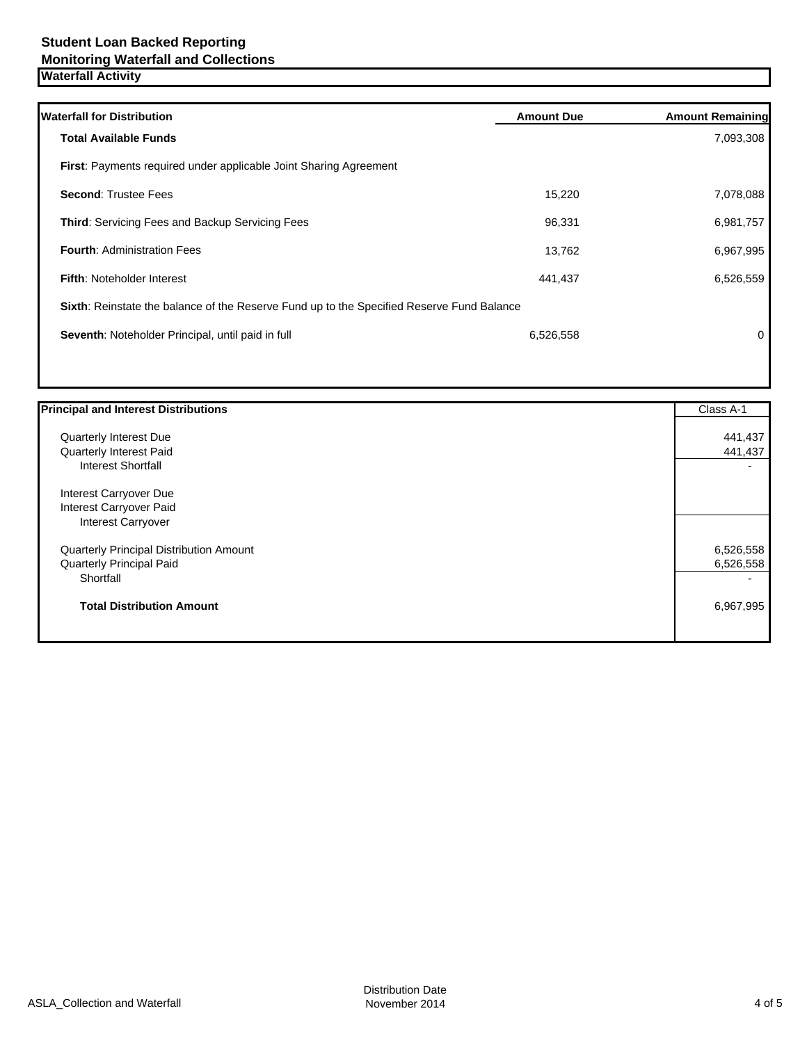| <b>Waterfall for Distribution</b>                                                         | <b>Amount Due</b> | <b>Amount Remaining</b> |
|-------------------------------------------------------------------------------------------|-------------------|-------------------------|
| <b>Total Available Funds</b>                                                              |                   | 7,093,308               |
| <b>First:</b> Payments required under applicable Joint Sharing Agreement                  |                   |                         |
| <b>Second: Trustee Fees</b>                                                               | 15,220            | 7,078,088               |
| <b>Third:</b> Servicing Fees and Backup Servicing Fees                                    | 96,331            | 6,981,757               |
| <b>Fourth: Administration Fees</b>                                                        | 13,762            | 6,967,995               |
| <b>Fifth: Noteholder Interest</b>                                                         | 441,437           | 6,526,559               |
| Sixth: Reinstate the balance of the Reserve Fund up to the Specified Reserve Fund Balance |                   |                         |
| Seventh: Noteholder Principal, until paid in full                                         | 6,526,558         | 0                       |
|                                                                                           |                   |                         |

| <b>Principal and Interest Distributions</b>    | Class A-1 |
|------------------------------------------------|-----------|
| <b>Quarterly Interest Due</b>                  | 441,437   |
| Quarterly Interest Paid                        | 441,437   |
| <b>Interest Shortfall</b>                      |           |
| Interest Carryover Due                         |           |
| Interest Carryover Paid                        |           |
| Interest Carryover                             |           |
| <b>Quarterly Principal Distribution Amount</b> | 6,526,558 |
| Quarterly Principal Paid                       | 6,526,558 |
| Shortfall                                      |           |
| <b>Total Distribution Amount</b>               | 6,967,995 |
|                                                |           |